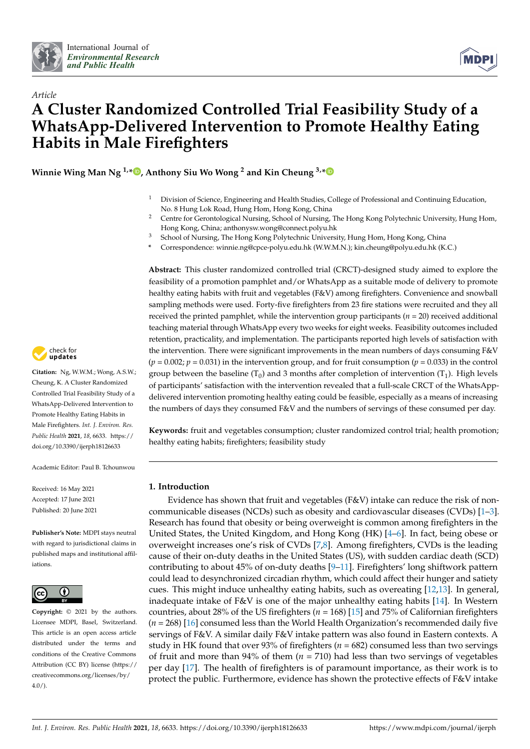

*Article*



# **A Cluster Randomized Controlled Trial Feasibility Study of a WhatsApp-Delivered Intervention to Promote Healthy Eating Habits in Male Firefighters**

**Winnie Wing Man Ng 1,[\\*](https://orcid.org/0000-0002-8357-5234) , Anthony Siu Wo Wong <sup>2</sup> and Kin Cheung 3,[\\*](https://orcid.org/0000-0002-8419-4847)**

- <sup>1</sup> Division of Science, Engineering and Health Studies, College of Professional and Continuing Education, No. 8 Hung Lok Road, Hung Hom, Hong Kong, China
- <sup>2</sup> Centre for Gerontological Nursing, School of Nursing, The Hong Kong Polytechnic University, Hung Hom, Hong Kong, China; anthonysw.wong@connect.polyu.hk
- <sup>3</sup> School of Nursing, The Hong Kong Polytechnic University, Hung Hom, Hong Kong, China
- **\*** Correspondence: winnie.ng@cpce-polyu.edu.hk (W.W.M.N.); kin.cheung@polyu.edu.hk (K.C.)

**Abstract:** This cluster randomized controlled trial (CRCT)-designed study aimed to explore the feasibility of a promotion pamphlet and/or WhatsApp as a suitable mode of delivery to promote healthy eating habits with fruit and vegetables (F&V) among firefighters. Convenience and snowball sampling methods were used. Forty-five firefighters from 23 fire stations were recruited and they all received the printed pamphlet, while the intervention group participants (*n* = 20) received additional teaching material through WhatsApp every two weeks for eight weeks. Feasibility outcomes included retention, practicality, and implementation. The participants reported high levels of satisfaction with the intervention. There were significant improvements in the mean numbers of days consuming F&V (*p =* 0.002; *p =* 0.031) in the intervention group, and for fruit consumption (*p =* 0.033) in the control group between the baseline (T<sub>0</sub>) and 3 months after completion of intervention (T<sub>1</sub>). High levels of participants' satisfaction with the intervention revealed that a full-scale CRCT of the WhatsAppdelivered intervention promoting healthy eating could be feasible, especially as a means of increasing the numbers of days they consumed F&V and the numbers of servings of these consumed per day.

**Keywords:** fruit and vegetables consumption; cluster randomized control trial; health promotion; healthy eating habits; firefighters; feasibility study

# **1. Introduction**

Evidence has shown that fruit and vegetables (F&V) intake can reduce the risk of noncommunicable diseases (NCDs) such as obesity and cardiovascular diseases (CVDs) [\[1](#page-9-0)[–3\]](#page-9-1). Research has found that obesity or being overweight is common among firefighters in the United States, the United Kingdom, and Hong Kong (HK) [\[4–](#page-9-2)[6\]](#page-9-3). In fact, being obese or overweight increases one's risk of CVDs [\[7](#page-9-4)[,8\]](#page-9-5). Among firefighters, CVDs is the leading cause of their on-duty deaths in the United States (US), with sudden cardiac death (SCD) contributing to about 45% of on-duty deaths [\[9](#page-9-6)[–11\]](#page-9-7). Firefighters' long shiftwork pattern could lead to desynchronized circadian rhythm, which could affect their hunger and satiety cues. This might induce unhealthy eating habits, such as overeating [\[12,](#page-9-8)[13\]](#page-9-9). In general, inadequate intake of F&V is one of the major unhealthy eating habits [\[14\]](#page-9-10). In Western countries, about 28% of the US firefighters (*n* = 168) [\[15\]](#page-9-11) and 75% of Californian firefighters (*n* = 268) [\[16\]](#page-9-12) consumed less than the World Health Organization's recommended daily five servings of F&V. A similar daily F&V intake pattern was also found in Eastern contexts. A study in HK found that over 93% of firefighters ( $n = 682$ ) consumed less than two servings of fruit and more than  $94\%$  of them ( $n = 710$ ) had less than two servings of vegetables per day [\[17\]](#page-9-13). The health of firefighters is of paramount importance, as their work is to protect the public. Furthermore, evidence has shown the protective effects of F&V intake



**Citation:** Ng, W.W.M.; Wong, A.S.W.; Cheung, K. A Cluster Randomized Controlled Trial Feasibility Study of a WhatsApp-Delivered Intervention to Promote Healthy Eating Habits in Male Firefighters. *Int. J. Environ. Res. Public Health* **2021**, *18*, 6633. [https://](https://doi.org/10.3390/ijerph18126633) [doi.org/10.3390/ijerph18126633](https://doi.org/10.3390/ijerph18126633)

Academic Editor: Paul B. Tchounwou

Received: 16 May 2021 Accepted: 17 June 2021 Published: 20 June 2021

**Publisher's Note:** MDPI stays neutral with regard to jurisdictional claims in published maps and institutional affiliations.



**Copyright:** © 2021 by the authors. Licensee MDPI, Basel, Switzerland. This article is an open access article distributed under the terms and conditions of the Creative Commons Attribution (CC BY) license (https:/[/](https://creativecommons.org/licenses/by/4.0/) [creativecommons.org/licenses/by/](https://creativecommons.org/licenses/by/4.0/) 4.0/).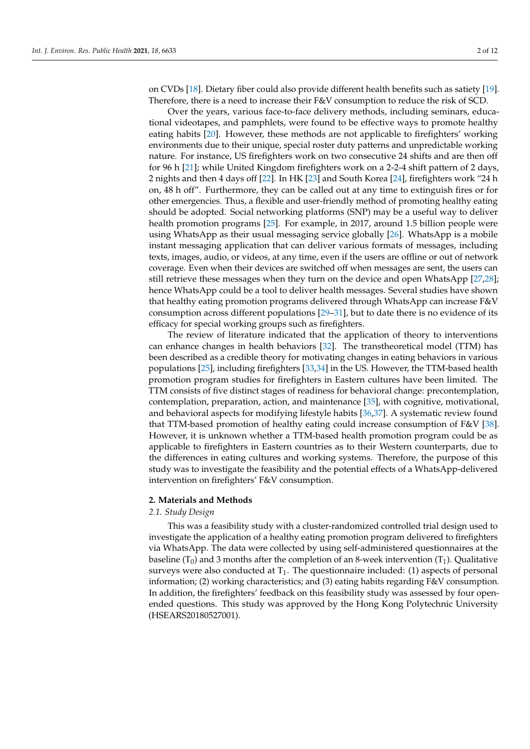on CVDs [\[18\]](#page-9-14). Dietary fiber could also provide different health benefits such as satiety [\[19\]](#page-9-15). Therefore, there is a need to increase their F&V consumption to reduce the risk of SCD.

Over the years, various face-to-face delivery methods, including seminars, educational videotapes, and pamphlets, were found to be effective ways to promote healthy eating habits [\[20\]](#page-9-16). However, these methods are not applicable to firefighters' working environments due to their unique, special roster duty patterns and unpredictable working nature. For instance, US firefighters work on two consecutive 24 shifts and are then off for 96 h [\[21\]](#page-9-17); while United Kingdom firefighters work on a 2-2-4 shift pattern of 2 days, 2 nights and then 4 days off [\[22\]](#page-9-18). In HK [\[23\]](#page-9-19) and South Korea [\[24\]](#page-10-0), firefighters work "24 h on, 48 h off". Furthermore, they can be called out at any time to extinguish fires or for other emergencies. Thus, a flexible and user-friendly method of promoting healthy eating should be adopted. Social networking platforms (SNP) may be a useful way to deliver health promotion programs [\[25\]](#page-10-1). For example, in 2017, around 1.5 billion people were using WhatsApp as their usual messaging service globally [\[26\]](#page-10-2). WhatsApp is a mobile instant messaging application that can deliver various formats of messages, including texts, images, audio, or videos, at any time, even if the users are offline or out of network coverage. Even when their devices are switched off when messages are sent, the users can still retrieve these messages when they turn on the device and open WhatsApp [\[27,](#page-10-3)[28\]](#page-10-4); hence WhatsApp could be a tool to deliver health messages. Several studies have shown that healthy eating promotion programs delivered through WhatsApp can increase F&V consumption across different populations [\[29](#page-10-5)[–31\]](#page-10-6), but to date there is no evidence of its efficacy for special working groups such as firefighters.

The review of literature indicated that the application of theory to interventions can enhance changes in health behaviors [\[32\]](#page-10-7). The transtheoretical model (TTM) has been described as a credible theory for motivating changes in eating behaviors in various populations [\[25\]](#page-10-1), including firefighters [\[33](#page-10-8)[,34\]](#page-10-9) in the US. However, the TTM-based health promotion program studies for firefighters in Eastern cultures have been limited. The TTM consists of five distinct stages of readiness for behavioral change: precontemplation, contemplation, preparation, action, and maintenance [\[35\]](#page-10-10), with cognitive, motivational, and behavioral aspects for modifying lifestyle habits [\[36,](#page-10-11)[37\]](#page-10-12). A systematic review found that TTM-based promotion of healthy eating could increase consumption of F&V [\[38\]](#page-10-13). However, it is unknown whether a TTM-based health promotion program could be as applicable to firefighters in Eastern countries as to their Western counterparts, due to the differences in eating cultures and working systems. Therefore, the purpose of this study was to investigate the feasibility and the potential effects of a WhatsApp-delivered intervention on firefighters' F&V consumption.

# **2. Materials and Methods**

# *2.1. Study Design*

This was a feasibility study with a cluster-randomized controlled trial design used to investigate the application of a healthy eating promotion program delivered to firefighters via WhatsApp. The data were collected by using self-administered questionnaires at the baseline ( $T_0$ ) and 3 months after the completion of an 8-week intervention ( $T_1$ ). Qualitative surveys were also conducted at  $T_1$ . The questionnaire included: (1) aspects of personal information; (2) working characteristics; and (3) eating habits regarding F&V consumption. In addition, the firefighters' feedback on this feasibility study was assessed by four openended questions. This study was approved by the Hong Kong Polytechnic University (HSEARS20180527001).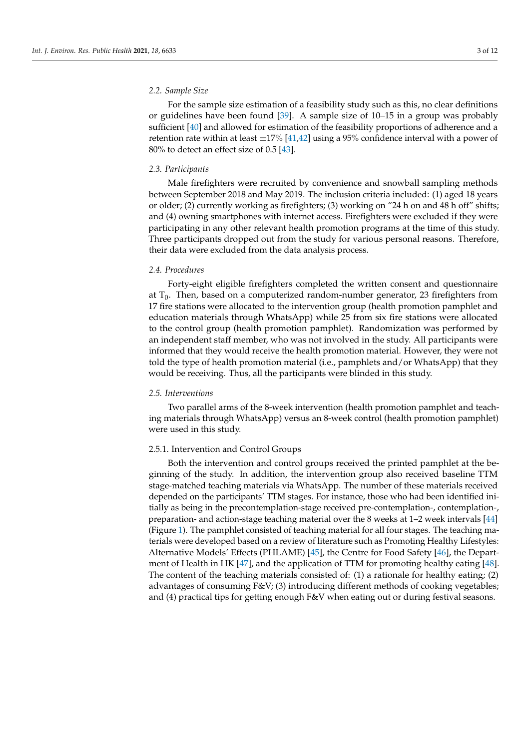# *2.2. Sample Size*

For the sample size estimation of a feasibility study such as this, no clear definitions or guidelines have been found [\[39\]](#page-10-14). A sample size of 10–15 in a group was probably sufficient [\[40\]](#page-10-15) and allowed for estimation of the feasibility proportions of adherence and a retention rate within at least  $\pm 17\%$  [\[41](#page-10-16)[,42\]](#page-10-17) using a 95% confidence interval with a power of 80% to detect an effect size of 0.5 [\[43\]](#page-10-18).

# *2.3. Participants*

Male firefighters were recruited by convenience and snowball sampling methods between September 2018 and May 2019. The inclusion criteria included: (1) aged 18 years or older; (2) currently working as firefighters; (3) working on "24 h on and 48 h off" shifts; and (4) owning smartphones with internet access. Firefighters were excluded if they were participating in any other relevant health promotion programs at the time of this study. Three participants dropped out from the study for various personal reasons. Therefore, their data were excluded from the data analysis process.

# *2.4. Procedures*

Forty-eight eligible firefighters completed the written consent and questionnaire at  $T_0$ . Then, based on a computerized random-number generator, 23 firefighters from 17 fire stations were allocated to the intervention group (health promotion pamphlet and education materials through WhatsApp) while 25 from six fire stations were allocated to the control group (health promotion pamphlet). Randomization was performed by an independent staff member, who was not involved in the study. All participants were informed that they would receive the health promotion material. However, they were not told the type of health promotion material (i.e., pamphlets and/or WhatsApp) that they would be receiving. Thus, all the participants were blinded in this study.

# *2.5. Interventions*

Two parallel arms of the 8-week intervention (health promotion pamphlet and teaching materials through WhatsApp) versus an 8-week control (health promotion pamphlet) were used in this study.

#### 2.5.1. Intervention and Control Groups

Both the intervention and control groups received the printed pamphlet at the beginning of the study. In addition, the intervention group also received baseline TTM stage-matched teaching materials via WhatsApp. The number of these materials received depended on the participants' TTM stages. For instance, those who had been identified initially as being in the precontemplation-stage received pre-contemplation-, contemplation-, preparation- and action-stage teaching material over the 8 weeks at 1–2 week intervals [\[44\]](#page-10-19) (Figure [1\)](#page-3-0). The pamphlet consisted of teaching material for all four stages. The teaching materials were developed based on a review of literature such as Promoting Healthy Lifestyles: Alternative Models' Effects (PHLAME) [\[45\]](#page-10-20), the Centre for Food Safety [\[46\]](#page-10-21), the Department of Health in HK [\[47\]](#page-10-22), and the application of TTM for promoting healthy eating [\[48\]](#page-10-23). The content of the teaching materials consisted of: (1) a rationale for healthy eating; (2) advantages of consuming F&V; (3) introducing different methods of cooking vegetables; and (4) practical tips for getting enough F&V when eating out or during festival seasons.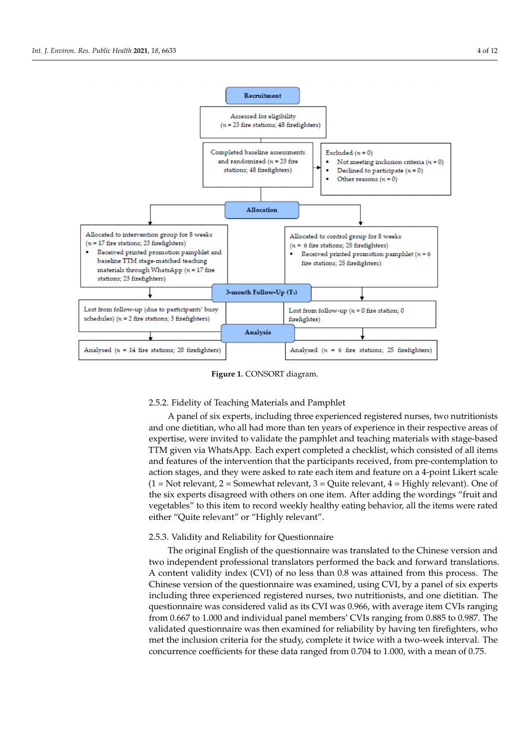<span id="page-3-0"></span>

**Figure 1.** CONSORT diagram.

# 2.5.2. Fidelity of Teaching Materials and Pamphlet 2.5.2. Fidelity of Teaching Materials and Pamphlet

A panel of six experts, including three experienced registered nurses, two nutritionists and one dietitian, who all had more than ten years of experience in their respective areas of expertise, were invited to validate the pamphlet and teaching materials with stage-based stage-based TTM given via WhatsApp. Each expert completed a checklist, which con-TTM given via WhatsApp. Each expert completed a checklist, which consisted of all items and features of the intervention that the participants received, from pre-contemplation to action stages, and they were asked to rate each item and feature on a 4-point Likert scale  $(1 = Not relevant, 2 = Somewhat relevant, 3 = Quite relevant, 4 = Highly relevant). One of$ the six experts disagreed with others on one item. After adding the wordings "fruit and vegetables" to this item to record weekly healthy eating behavior, all the items were rated either "Quite relevant" or "Highly relevant".

# 2.5.3. Validity and Reliability for Questionnaire 2.5.3. Validity and Reliability for Questionnaire

The original English of the questionnaire was translated to the Chinese version and two independent professional translators performed the back and forward translations. two independent professional translators performed the back and forward translations. A A content validity index (CVI) of no less than 0.8 was attained from this process. The Chinese version of the questionnaire was examined, using CVI, by a panel of six experts including three experienced registered nurses, two nutritionists, and one dietitian. The questionnaire was considered valid as its CVI was 0.966, with average item CVIs ranging from 0.667 to 1.000 and individual panel members' CVIs ranging from 0.885 to 0.987. The validated questionnaire was then examined for reliability by having ten firefighters, who met the inclusion criteria for the study, complete it twice with a two-week interval. The concurrence coefficients for these data ranged from 0.704 to 1.000, with a mean of 0.75.  $c_{\rm c}$  these data ranged from 0.744 to 1.000, with a mean of 0.744 to 1.000, with a mean of 0.74.74.74 The original English of the questionnaire was translated to the Chinese version and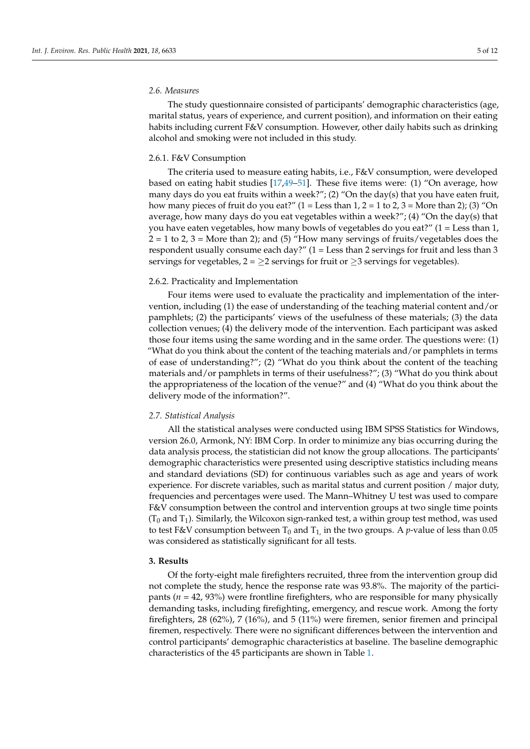# *2.6. Measures*

The study questionnaire consisted of participants' demographic characteristics (age, marital status, years of experience, and current position), and information on their eating habits including current F&V consumption. However, other daily habits such as drinking alcohol and smoking were not included in this study.

#### 2.6.1. F&V Consumption

The criteria used to measure eating habits, i.e., F&V consumption, were developed based on eating habit studies [\[17](#page-9-13)[,49](#page-10-24)[–51\]](#page-11-0). These five items were: (1) "On average, how many days do you eat fruits within a week?"; (2) "On the day(s) that you have eaten fruit, how many pieces of fruit do you eat?"  $(1 =$  Less than  $1, 2 = 1$  to  $2, 3 =$  More than  $2$ ); (3) "On average, how many days do you eat vegetables within a week?"; (4) "On the day(s) that you have eaten vegetables, how many bowls of vegetables do you eat?" (1 = Less than 1,  $2 = 1$  to 2, 3 = More than 2); and (5) "How many servings of fruits/vegetables does the respondent usually consume each day?" (1 = Less than 2 servings for fruit and less than 3 servings for vegetables,  $2 = \ge 2$  servings for fruit or  $\ge 3$  servings for vegetables).

#### 2.6.2. Practicality and Implementation

Four items were used to evaluate the practicality and implementation of the intervention, including (1) the ease of understanding of the teaching material content and/or pamphlets; (2) the participants' views of the usefulness of these materials; (3) the data collection venues; (4) the delivery mode of the intervention. Each participant was asked those four items using the same wording and in the same order. The questions were: (1) "What do you think about the content of the teaching materials and/or pamphlets in terms of ease of understanding?"; (2) "What do you think about the content of the teaching materials and/or pamphlets in terms of their usefulness?"; (3) "What do you think about the appropriateness of the location of the venue?" and (4) "What do you think about the delivery mode of the information?".

#### *2.7. Statistical Analysis*

All the statistical analyses were conducted using IBM SPSS Statistics for Windows, version 26.0, Armonk, NY: IBM Corp. In order to minimize any bias occurring during the data analysis process, the statistician did not know the group allocations. The participants' demographic characteristics were presented using descriptive statistics including means and standard deviations (SD) for continuous variables such as age and years of work experience. For discrete variables, such as marital status and current position / major duty, frequencies and percentages were used. The Mann–Whitney U test was used to compare F&V consumption between the control and intervention groups at two single time points  $(T_0$  and  $T_1$ ). Similarly, the Wilcoxon sign-ranked test, a within group test method, was used to test F&V consumption between  $T_0$  and  $T_1$ , in the two groups. A *p*-value of less than 0.05 was considered as statistically significant for all tests.

### **3. Results**

Of the forty-eight male firefighters recruited, three from the intervention group did not complete the study, hence the response rate was 93.8%. The majority of the participants (*n* = 42, 93%) were frontline firefighters, who are responsible for many physically demanding tasks, including firefighting, emergency, and rescue work. Among the forty firefighters, 28 (62%), 7 (16%), and 5 (11%) were firemen, senior firemen and principal firemen, respectively. There were no significant differences between the intervention and control participants' demographic characteristics at baseline. The baseline demographic characteristics of the 45 participants are shown in Table [1.](#page-5-0)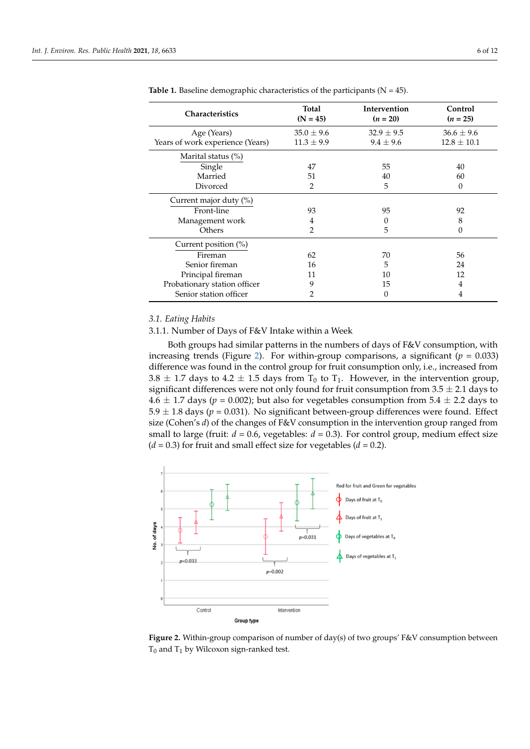| <b>Characteristics</b>           | Total<br>$(N = 45)$ | <b>Intervention</b><br>$(n = 20)$ | Control<br>$(n = 25)$ |  |
|----------------------------------|---------------------|-----------------------------------|-----------------------|--|
| Age (Years)                      | $35.0 \pm 9.6$      | $32.9 \pm 9.5$                    | $36.6 \pm 9.6$        |  |
| Years of work experience (Years) | $11.3 \pm 9.9$      | $9.4 \pm 9.6$                     | $12.8 \pm 10.1$       |  |
| Marital status $(\%)$            |                     |                                   |                       |  |
| Single                           | 47                  | 55                                | 40                    |  |
| Married                          | 51                  | 40                                | 60                    |  |
| Divorced                         | 2                   | 5                                 | 0                     |  |
| Current major duty (%)           |                     |                                   |                       |  |
| Front-line                       | 93                  | 95                                | 92                    |  |
| Management work                  | 4                   | $\theta$                          | 8                     |  |
| Others                           | $\overline{2}$      | 5                                 | 0                     |  |
| Current position (%)             |                     |                                   |                       |  |
| Fireman                          | 62                  | 70                                | 56                    |  |
| Senior fireman                   | 16                  | 5                                 | 24                    |  |
| Principal fireman                | 11                  | 10                                | 12                    |  |
| Probationary station officer     | 9                   | 15                                | 4                     |  |
| Senior station officer           |                     | 0                                 | 4                     |  |

<span id="page-5-0"></span>Table 1. Baseline demographic characteristics of the participants (N = 45).

#### *3.1. Eating Habits 3.1. Eating Habits*

3.1.1. Number of Days of F&V Intake within a Week 3.1.1. Number of Days of F&V Intake Within a Week

Both groups had similar patterns in the numbers of days of F&V consumption, with Both groups had similar patterns in the numbers of days of F&V consumption, with increasing trends (Figure [2\)](#page-5-1). For within-group comparisons, a significant  $(p = 0.033)$ difference was found in the control group for fruit consumption only, i.e., increased from  $3.8 \pm 1.7$  days to  $4.2 \pm 1.5$  days from  $T_0$  to  $T_1$ . However, in the intervention group, significant differences were not only found for fruit consumption from  $3.5 \pm 2.1$  days to  $\overrightarrow{4.6} \pm 1.7$  days ( $p = 0.002$ ); but also for vegetables consumption from 5.4  $\pm$  2.2 days to  $5.9 \pm 1.8$  days ( $p = 0.031$ ). No significant between-group differences were found. Effect size (Cohen's *d*) of the changes of F&V consumption in the intervention group ranged from small to large (fruit:  $d = 0.6$ , vegetables:  $d = 0.3$ ). For control group, medium effect size  $(d = 0.3)$  for fruit and small effect size for vegetables  $(d = 0.2)$ .

<span id="page-5-1"></span>

**Figure 2.** Within-group comparison of number of day(s) of two groups' F&V consumption between  $T_0$  and  $T_1$  by Wilcoxon sign-ranked test.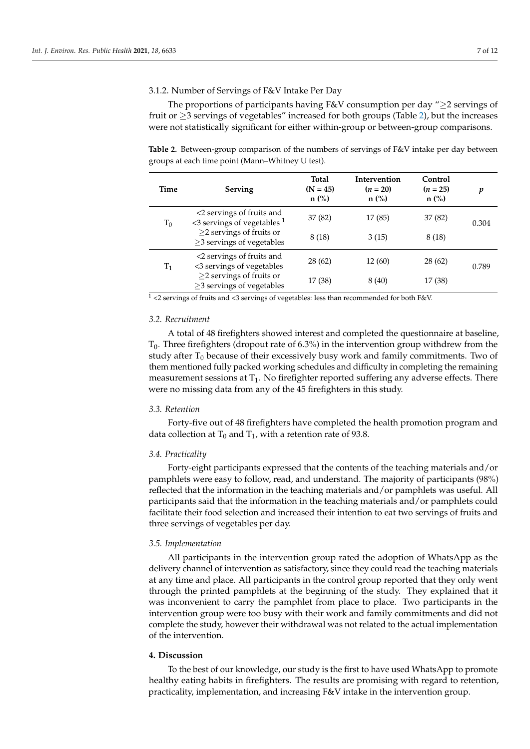# 3.1.2. Number of Servings of F&V Intake Per Day

The proportions of participants having F&V consumption per day "≥2 servings of fruit or  $\geq$ 3 servings of vegetables" increased for both groups (Table [2\)](#page-6-0), but the increases were not statistically significant for either within-group or between-group comparisons.

<span id="page-6-0"></span>**Table 2.** Between-group comparison of the numbers of servings of F&V intake per day between groups at each time point (Mann–Whitney U test).

| Time           | Serving                                                                                                                     | Total<br>$(N = 45)$<br>$n$ (%) | Intervention<br>$(n = 20)$<br>$n$ (%) | Control<br>$(n = 25)$<br>$n$ (%) | p     |
|----------------|-----------------------------------------------------------------------------------------------------------------------------|--------------------------------|---------------------------------------|----------------------------------|-------|
| $T_0$          | <2 servings of fruits and<br>$\leq$ 3 servings of vegetables $^1$                                                           | 37 (82)                        | 17 (85)                               | 37 (82)                          | 0.304 |
|                | $\geq$ 2 servings of fruits or<br>$\geq$ 3 servings of vegetables                                                           | 8 (18)                         | 3(15)                                 | 8 (18)                           |       |
| $\mathrm{T}_1$ | <2 servings of fruits and<br><3 servings of vegetables<br>$\geq$ 2 servings of fruits or<br>$\geq$ 3 servings of vegetables | 28(62)                         | 12 (60)                               | 28 (62)                          | 0.789 |
|                |                                                                                                                             | 17 (38)                        | 8(40)                                 | 17 (38)                          |       |

 $\frac{1}{1}$  <2 servings of fruits and <3 servings of vegetables: less than recommended for both F&V.

#### *3.2. Recruitment*

A total of 48 firefighters showed interest and completed the questionnaire at baseline,  $T_0$ . Three firefighters (dropout rate of 6.3%) in the intervention group withdrew from the study after  $T_0$  because of their excessively busy work and family commitments. Two of them mentioned fully packed working schedules and difficulty in completing the remaining measurement sessions at  $T_1$ . No firefighter reported suffering any adverse effects. There were no missing data from any of the 45 firefighters in this study.

### *3.3. Retention*

Forty-five out of 48 firefighters have completed the health promotion program and data collection at  $T_0$  and  $T_1$ , with a retention rate of 93.8.

# *3.4. Practicality*

Forty-eight participants expressed that the contents of the teaching materials and/or pamphlets were easy to follow, read, and understand. The majority of participants (98%) reflected that the information in the teaching materials and/or pamphlets was useful. All participants said that the information in the teaching materials and/or pamphlets could facilitate their food selection and increased their intention to eat two servings of fruits and three servings of vegetables per day.

#### *3.5. Implementation*

All participants in the intervention group rated the adoption of WhatsApp as the delivery channel of intervention as satisfactory, since they could read the teaching materials at any time and place. All participants in the control group reported that they only went through the printed pamphlets at the beginning of the study. They explained that it was inconvenient to carry the pamphlet from place to place. Two participants in the intervention group were too busy with their work and family commitments and did not complete the study, however their withdrawal was not related to the actual implementation of the intervention.

# **4. Discussion**

To the best of our knowledge, our study is the first to have used WhatsApp to promote healthy eating habits in firefighters. The results are promising with regard to retention, practicality, implementation, and increasing F&V intake in the intervention group.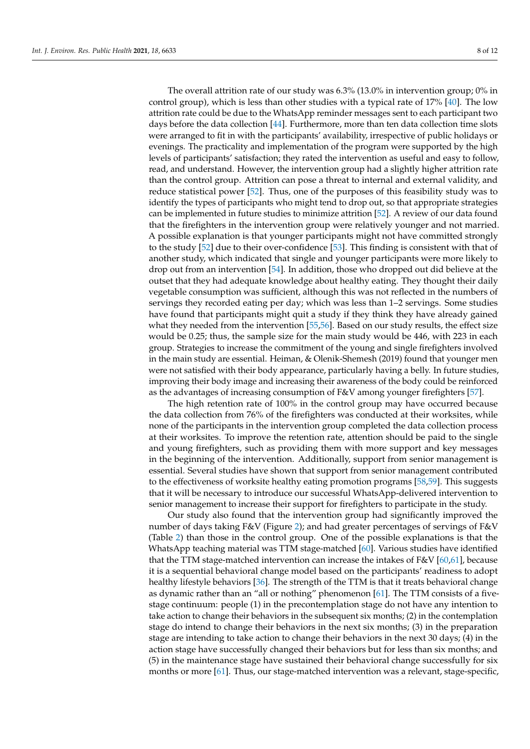The overall attrition rate of our study was 6.3% (13.0% in intervention group; 0% in control group), which is less than other studies with a typical rate of 17% [\[40\]](#page-10-15). The low attrition rate could be due to the WhatsApp reminder messages sent to each participant two days before the data collection [\[44\]](#page-10-19). Furthermore, more than ten data collection time slots were arranged to fit in with the participants' availability, irrespective of public holidays or evenings. The practicality and implementation of the program were supported by the high levels of participants' satisfaction; they rated the intervention as useful and easy to follow, read, and understand. However, the intervention group had a slightly higher attrition rate than the control group. Attrition can pose a threat to internal and external validity, and reduce statistical power [\[52\]](#page-11-1). Thus, one of the purposes of this feasibility study was to identify the types of participants who might tend to drop out, so that appropriate strategies can be implemented in future studies to minimize attrition [\[52\]](#page-11-1). A review of our data found that the firefighters in the intervention group were relatively younger and not married. A possible explanation is that younger participants might not have committed strongly to the study [\[52\]](#page-11-1) due to their over-confidence [\[53\]](#page-11-2). This finding is consistent with that of another study, which indicated that single and younger participants were more likely to drop out from an intervention [\[54\]](#page-11-3). In addition, those who dropped out did believe at the outset that they had adequate knowledge about healthy eating. They thought their daily vegetable consumption was sufficient, although this was not reflected in the numbers of servings they recorded eating per day; which was less than 1–2 servings. Some studies have found that participants might quit a study if they think they have already gained what they needed from the intervention [\[55,](#page-11-4)[56\]](#page-11-5). Based on our study results, the effect size would be 0.25; thus, the sample size for the main study would be 446, with 223 in each group. Strategies to increase the commitment of the young and single firefighters involved in the main study are essential. Heiman, & Olenik-Shemesh (2019) found that younger men were not satisfied with their body appearance, particularly having a belly. In future studies, improving their body image and increasing their awareness of the body could be reinforced as the advantages of increasing consumption of F&V among younger firefighters [\[57\]](#page-11-6).

The high retention rate of 100% in the control group may have occurred because the data collection from 76% of the firefighters was conducted at their worksites, while none of the participants in the intervention group completed the data collection process at their worksites. To improve the retention rate, attention should be paid to the single and young firefighters, such as providing them with more support and key messages in the beginning of the intervention. Additionally, support from senior management is essential. Several studies have shown that support from senior management contributed to the effectiveness of worksite healthy eating promotion programs [\[58,](#page-11-7)[59\]](#page-11-8). This suggests that it will be necessary to introduce our successful WhatsApp-delivered intervention to senior management to increase their support for firefighters to participate in the study.

Our study also found that the intervention group had significantly improved the number of days taking F&V (Figure [2\)](#page-5-1); and had greater percentages of servings of F&V (Table [2\)](#page-6-0) than those in the control group. One of the possible explanations is that the WhatsApp teaching material was TTM stage-matched [\[60\]](#page-11-9). Various studies have identified that the TTM stage-matched intervention can increase the intakes of  $F&V$  [\[60](#page-11-9)[,61\]](#page-11-10), because it is a sequential behavioral change model based on the participants' readiness to adopt healthy lifestyle behaviors [\[36\]](#page-10-11). The strength of the TTM is that it treats behavioral change as dynamic rather than an "all or nothing" phenomenon [\[61\]](#page-11-10). The TTM consists of a fivestage continuum: people (1) in the precontemplation stage do not have any intention to take action to change their behaviors in the subsequent six months; (2) in the contemplation stage do intend to change their behaviors in the next six months; (3) in the preparation stage are intending to take action to change their behaviors in the next 30 days; (4) in the action stage have successfully changed their behaviors but for less than six months; and (5) in the maintenance stage have sustained their behavioral change successfully for six months or more [\[61\]](#page-11-10). Thus, our stage-matched intervention was a relevant, stage-specific,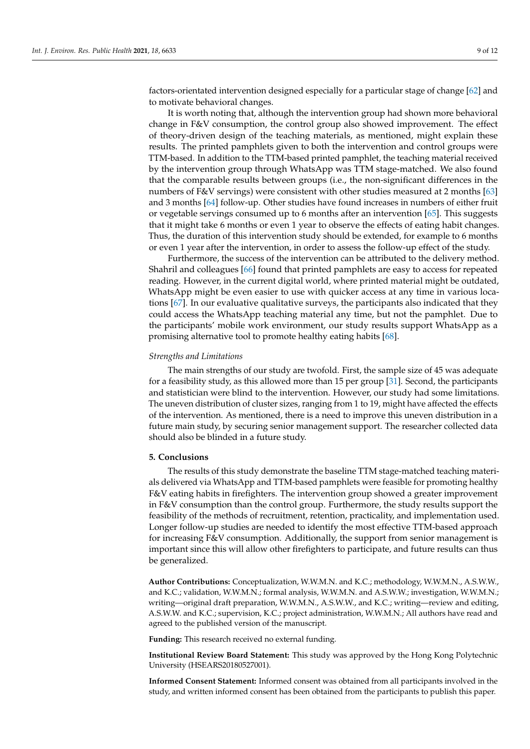factors-orientated intervention designed especially for a particular stage of change [\[62\]](#page-11-11) and to motivate behavioral changes.

It is worth noting that, although the intervention group had shown more behavioral change in F&V consumption, the control group also showed improvement. The effect of theory-driven design of the teaching materials, as mentioned, might explain these results. The printed pamphlets given to both the intervention and control groups were TTM-based. In addition to the TTM-based printed pamphlet, the teaching material received by the intervention group through WhatsApp was TTM stage-matched. We also found that the comparable results between groups (i.e., the non-significant differences in the numbers of F&V servings) were consistent with other studies measured at 2 months [\[63\]](#page-11-12) and 3 months [\[64\]](#page-11-13) follow-up. Other studies have found increases in numbers of either fruit or vegetable servings consumed up to 6 months after an intervention [\[65\]](#page-11-14). This suggests that it might take 6 months or even 1 year to observe the effects of eating habit changes. Thus, the duration of this intervention study should be extended, for example to 6 months or even 1 year after the intervention, in order to assess the follow-up effect of the study.

Furthermore, the success of the intervention can be attributed to the delivery method. Shahril and colleagues [\[66\]](#page-11-15) found that printed pamphlets are easy to access for repeated reading. However, in the current digital world, where printed material might be outdated, WhatsApp might be even easier to use with quicker access at any time in various locations [\[67\]](#page-11-16). In our evaluative qualitative surveys, the participants also indicated that they could access the WhatsApp teaching material any time, but not the pamphlet. Due to the participants' mobile work environment, our study results support WhatsApp as a promising alternative tool to promote healthy eating habits [\[68\]](#page-11-17).

# *Strengths and Limitations*

The main strengths of our study are twofold. First, the sample size of 45 was adequate for a feasibility study, as this allowed more than 15 per group [\[31\]](#page-10-6). Second, the participants and statistician were blind to the intervention. However, our study had some limitations. The uneven distribution of cluster sizes, ranging from 1 to 19, might have affected the effects of the intervention. As mentioned, there is a need to improve this uneven distribution in a future main study, by securing senior management support. The researcher collected data should also be blinded in a future study.

# **5. Conclusions**

The results of this study demonstrate the baseline TTM stage-matched teaching materials delivered via WhatsApp and TTM-based pamphlets were feasible for promoting healthy F&V eating habits in firefighters. The intervention group showed a greater improvement in F&V consumption than the control group. Furthermore, the study results support the feasibility of the methods of recruitment, retention, practicality, and implementation used. Longer follow-up studies are needed to identify the most effective TTM-based approach for increasing F&V consumption. Additionally, the support from senior management is important since this will allow other firefighters to participate, and future results can thus be generalized.

**Author Contributions:** Conceptualization, W.W.M.N. and K.C.; methodology, W.W.M.N., A.S.W.W., and K.C.; validation, W.W.M.N.; formal analysis, W.W.M.N. and A.S.W.W.; investigation, W.W.M.N.; writing—original draft preparation, W.W.M.N., A.S.W.W., and K.C.; writing—review and editing, A.S.W.W. and K.C.; supervision, K.C.; project administration, W.W.M.N.; All authors have read and agreed to the published version of the manuscript.

**Funding:** This research received no external funding.

**Institutional Review Board Statement:** This study was approved by the Hong Kong Polytechnic University (HSEARS20180527001).

**Informed Consent Statement:** Informed consent was obtained from all participants involved in the study, and written informed consent has been obtained from the participants to publish this paper.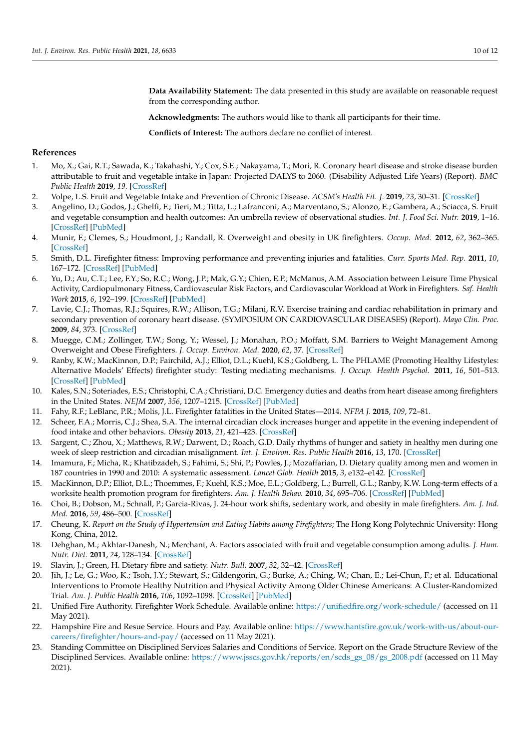**Data Availability Statement:** The data presented in this study are available on reasonable request from the corresponding author.

**Acknowledgments:** The authors would like to thank all participants for their time.

**Conflicts of Interest:** The authors declare no conflict of interest.

# **References**

- <span id="page-9-0"></span>1. Mo, X.; Gai, R.T.; Sawada, K.; Takahashi, Y.; Cox, S.E.; Nakayama, T.; Mori, R. Coronary heart disease and stroke disease burden attributable to fruit and vegetable intake in Japan: Projected DALYS to 2060. (Disability Adjusted Life Years) (Report). *BMC Public Health* **2019**, *19*. [\[CrossRef\]](http://doi.org/10.1186/s12889-019-7047-z)
- 2. Volpe, L.S. Fruit and Vegetable Intake and Prevention of Chronic Disease. *ACSM's Health Fit. J.* **2019**, *23*, 30–31. [\[CrossRef\]](http://doi.org/10.1249/FIT.0000000000000474)
- <span id="page-9-1"></span>3. Angelino, D.; Godos, J.; Ghelfi, F.; Tieri, M.; Titta, L.; Lafranconi, A.; Marventano, S.; Alonzo, E.; Gambera, A.; Sciacca, S. Fruit and vegetable consumption and health outcomes: An umbrella review of observational studies. *Int. J. Food Sci. Nutr.* **2019**, 1–16. [\[CrossRef\]](http://doi.org/10.1080/09637486.2019.1571021) [\[PubMed\]](http://www.ncbi.nlm.nih.gov/pubmed/30764679)
- <span id="page-9-2"></span>4. Munir, F.; Clemes, S.; Houdmont, J.; Randall, R. Overweight and obesity in UK firefighters. *Occup. Med.* **2012**, *62*, 362–365. [\[CrossRef\]](http://doi.org/10.1093/occmed/kqs077)
- 5. Smith, D.L. Firefighter fitness: Improving performance and preventing injuries and fatalities. *Curr. Sports Med. Rep.* **2011**, *10*, 167–172. [\[CrossRef\]](http://doi.org/10.1249/JSR.0b013e31821a9fec) [\[PubMed\]](http://www.ncbi.nlm.nih.gov/pubmed/21623308)
- <span id="page-9-3"></span>6. Yu, D.; Au, C.T.; Lee, F.Y.; So, R.C.; Wong, J.P.; Mak, G.Y.; Chien, E.P.; McManus, A.M. Association between Leisure Time Physical Activity, Cardiopulmonary Fitness, Cardiovascular Risk Factors, and Cardiovascular Workload at Work in Firefighters. *Saf. Health Work* **2015**, *6*, 192–199. [\[CrossRef\]](http://doi.org/10.1016/j.shaw.2015.02.004) [\[PubMed\]](http://www.ncbi.nlm.nih.gov/pubmed/26929827)
- <span id="page-9-4"></span>7. Lavie, C.J.; Thomas, R.J.; Squires, R.W.; Allison, T.G.; Milani, R.V. Exercise training and cardiac rehabilitation in primary and secondary prevention of coronary heart disease. (SYMPOSIUM ON CARDIOVASCULAR DISEASES) (Report). *Mayo Clin. Proc.* **2009**, *84*, 373. [\[CrossRef\]](http://doi.org/10.1016/S0025-6196(11)60548-X)
- <span id="page-9-5"></span>8. Muegge, C.M.; Zollinger, T.W.; Song, Y.; Wessel, J.; Monahan, P.O.; Moffatt, S.M. Barriers to Weight Management Among Overweight and Obese Firefighters. *J. Occup. Environ. Med.* **2020**, *62*, 37. [\[CrossRef\]](http://doi.org/10.1097/JOM.0000000000001751)
- <span id="page-9-6"></span>9. Ranby, K.W.; MacKinnon, D.P.; Fairchild, A.J.; Elliot, D.L.; Kuehl, K.S.; Goldberg, L. The PHLAME (Promoting Healthy Lifestyles: Alternative Models' Effects) firefighter study: Testing mediating mechanisms. *J. Occup. Health Psychol.* **2011**, *16*, 501–513. [\[CrossRef\]](http://doi.org/10.1037/a0023002) [\[PubMed\]](http://www.ncbi.nlm.nih.gov/pubmed/21728433)
- 10. Kales, S.N.; Soteriades, E.S.; Christophi, C.A.; Christiani, D.C. Emergency duties and deaths from heart disease among firefighters in the United States. *NEJM* **2007**, *356*, 1207–1215. [\[CrossRef\]](http://doi.org/10.1056/NEJMoa060357) [\[PubMed\]](http://www.ncbi.nlm.nih.gov/pubmed/17377158)
- <span id="page-9-7"></span>11. Fahy, R.F.; LeBlanc, P.R.; Molis, J.L. Firefighter fatalities in the United States—2014. *NFPA J.* **2015**, *109*, 72–81.
- <span id="page-9-8"></span>12. Scheer, F.A.; Morris, C.J.; Shea, S.A. The internal circadian clock increases hunger and appetite in the evening independent of food intake and other behaviors. *Obesity* **2013**, *21*, 421–423. [\[CrossRef\]](http://doi.org/10.1002/oby.20351)
- <span id="page-9-9"></span>13. Sargent, C.; Zhou, X.; Matthews, R.W.; Darwent, D.; Roach, G.D. Daily rhythms of hunger and satiety in healthy men during one week of sleep restriction and circadian misalignment. *Int. J. Environ. Res. Public Health* **2016**, *13*, 170. [\[CrossRef\]](http://doi.org/10.3390/ijerph13020170)
- <span id="page-9-10"></span>14. Imamura, F.; Micha, R.; Khatibzadeh, S.; Fahimi, S.; Shi, P.; Powles, J.; Mozaffarian, D. Dietary quality among men and women in 187 countries in 1990 and 2010: A systematic assessment. *Lancet Glob. Health* **2015**, *3*, e132–e142. [\[CrossRef\]](http://doi.org/10.1016/S2214-109X(14)70381-X)
- <span id="page-9-11"></span>15. MacKinnon, D.P.; Elliot, D.L.; Thoemmes, F.; Kuehl, K.S.; Moe, E.L.; Goldberg, L.; Burrell, G.L.; Ranby, K.W. Long-term effects of a worksite health promotion program for firefighters. *Am. J. Health Behav.* **2010**, *34*, 695–706. [\[CrossRef\]](http://doi.org/10.5993/AJHB.34.6.6) [\[PubMed\]](http://www.ncbi.nlm.nih.gov/pubmed/20604695)
- <span id="page-9-12"></span>16. Choi, B.; Dobson, M.; Schnall, P.; Garcia-Rivas, J. 24-hour work shifts, sedentary work, and obesity in male firefighters. *Am. J. Ind. Med.* **2016**, *59*, 486–500. [\[CrossRef\]](http://doi.org/10.1002/ajim.22572)
- <span id="page-9-13"></span>17. Cheung, K. *Report on the Study of Hypertension and Eating Habits among Firefighters*; The Hong Kong Polytechnic University: Hong Kong, China, 2012.
- <span id="page-9-14"></span>18. Dehghan, M.; Akhtar-Danesh, N.; Merchant, A. Factors associated with fruit and vegetable consumption among adults. *J. Hum. Nutr. Diet.* **2011**, *24*, 128–134. [\[CrossRef\]](http://doi.org/10.1111/j.1365-277X.2010.01142.x)
- <span id="page-9-15"></span>19. Slavin, J.; Green, H. Dietary fibre and satiety. *Nutr. Bull.* **2007**, *32*, 32–42. [\[CrossRef\]](http://doi.org/10.1111/j.1467-3010.2007.00603.x)
- <span id="page-9-16"></span>20. Jih, J.; Le, G.; Woo, K.; Tsoh, J.Y.; Stewart, S.; Gildengorin, G.; Burke, A.; Ching, W.; Chan, E.; Lei-Chun, F.; et al. Educational Interventions to Promote Healthy Nutrition and Physical Activity Among Older Chinese Americans: A Cluster-Randomized Trial. *Am. J. Public Health* **2016**, *106*, 1092–1098. [\[CrossRef\]](http://doi.org/10.2105/AJPH.2016.303111) [\[PubMed\]](http://www.ncbi.nlm.nih.gov/pubmed/26985605)
- <span id="page-9-17"></span>21. Unified Fire Authority. Firefighter Work Schedule. Available online: <https://unifiedfire.org/work-schedule/> (accessed on 11 May 2021).
- <span id="page-9-18"></span>22. Hampshire Fire and Resue Service. Hours and Pay. Available online: [https://www.hantsfire.gov.uk/work-with-us/about-our](https://www.hantsfire.gov.uk/work-with-us/about-our-careers/firefighter/hours-and-pay/)[careers/firefighter/hours-and-pay/](https://www.hantsfire.gov.uk/work-with-us/about-our-careers/firefighter/hours-and-pay/) (accessed on 11 May 2021).
- <span id="page-9-19"></span>23. Standing Committee on Disciplined Services Salaries and Conditions of Service. Report on the Grade Structure Review of the Disciplined Services. Available online: [https://www.jsscs.gov.hk/reports/en/scds\\_gs\\_08/gs\\_2008.pdf](https://www.jsscs.gov.hk/reports/en/scds_gs_08/gs_2008.pdf) (accessed on 11 May 2021).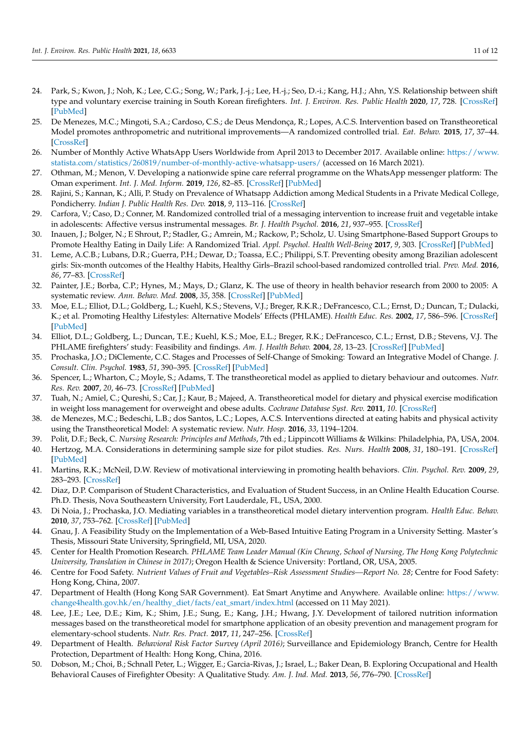- <span id="page-10-0"></span>24. Park, S.; Kwon, J.; Noh, K.; Lee, C.G.; Song, W.; Park, J.-j.; Lee, H.-j.; Seo, D.-i.; Kang, H.J.; Ahn, Y.S. Relationship between shift type and voluntary exercise training in South Korean firefighters. *Int. J. Environ. Res. Public Health* **2020**, *17*, 728. [\[CrossRef\]](http://doi.org/10.3390/ijerph17030728) [\[PubMed\]](http://www.ncbi.nlm.nih.gov/pubmed/31979157)
- <span id="page-10-1"></span>25. De Menezes, M.C.; Mingoti, S.A.; Cardoso, C.S.; de Deus Mendonça, R.; Lopes, A.C.S. Intervention based on Transtheoretical Model promotes anthropometric and nutritional improvements—A randomized controlled trial. *Eat. Behav.* **2015**, *17*, 37–44. [\[CrossRef\]](http://doi.org/10.1016/j.eatbeh.2014.12.007)
- <span id="page-10-2"></span>26. Number of Monthly Active WhatsApp Users Worldwide from April 2013 to December 2017. Available online: [https://www.](https://www.statista.com/statistics/260819/number-of-monthly-active-whatsapp-users/) [statista.com/statistics/260819/number-of-monthly-active-whatsapp-users/](https://www.statista.com/statistics/260819/number-of-monthly-active-whatsapp-users/) (accessed on 16 March 2021).
- <span id="page-10-3"></span>27. Othman, M.; Menon, V. Developing a nationwide spine care referral programme on the WhatsApp messenger platform: The Oman experiment. *Int. J. Med. Inform.* **2019**, *126*, 82–85. [\[CrossRef\]](http://doi.org/10.1016/j.ijmedinf.2019.03.019) [\[PubMed\]](http://www.ncbi.nlm.nih.gov/pubmed/31029267)
- <span id="page-10-4"></span>28. Rajini, S.; Kannan, K.; Alli, P. Study on Prevalence of Whatsapp Addiction among Medical Students in a Private Medical College, Pondicherry. *Indian J. Public Health Res. Dev.* **2018**, *9*, 113–116. [\[CrossRef\]](http://doi.org/10.5958/0976-5506.2018.00624.1)
- <span id="page-10-5"></span>29. Carfora, V.; Caso, D.; Conner, M. Randomized controlled trial of a messaging intervention to increase fruit and vegetable intake in adolescents: Affective versus instrumental messages. *Br. J. Health Psychol.* **2016**, *21*, 937–955. [\[CrossRef\]](http://doi.org/10.1111/bjhp.12208)
- 30. Inauen, J.; Bolger, N.; E Shrout, P.; Stadler, G.; Amrein, M.; Rackow, P.; Scholz, U. Using Smartphone-Based Support Groups to Promote Healthy Eating in Daily Life: A Randomized Trial. *Appl. Psychol. Health Well-Being* **2017**, *9*, 303. [\[CrossRef\]](http://doi.org/10.1111/aphw.12093) [\[PubMed\]](http://www.ncbi.nlm.nih.gov/pubmed/28948690)
- <span id="page-10-6"></span>31. Leme, A.C.B.; Lubans, D.R.; Guerra, P.H.; Dewar, D.; Toassa, E.C.; Philippi, S.T. Preventing obesity among Brazilian adolescent girls: Six-month outcomes of the Healthy Habits, Healthy Girls–Brazil school-based randomized controlled trial. *Prev. Med.* **2016**, *86*, 77–83. [\[CrossRef\]](http://doi.org/10.1016/j.ypmed.2016.01.020)
- <span id="page-10-7"></span>32. Painter, J.E.; Borba, C.P.; Hynes, M.; Mays, D.; Glanz, K. The use of theory in health behavior research from 2000 to 2005: A systematic review. *Ann. Behav. Med.* **2008**, *35*, 358. [\[CrossRef\]](http://doi.org/10.1007/s12160-008-9042-y) [\[PubMed\]](http://www.ncbi.nlm.nih.gov/pubmed/18633685)
- <span id="page-10-8"></span>33. Moe, E.L.; Elliot, D.L.; Goldberg, L.; Kuehl, K.S.; Stevens, V.J.; Breger, R.K.R.; DeFrancesco, C.L.; Ernst, D.; Duncan, T.; Dulacki, K.; et al. Promoting Healthy Lifestyles: Alternative Models' Effects (PHLAME). *Health Educ. Res.* **2002**, *17*, 586–596. [\[CrossRef\]](http://doi.org/10.1093/her/17.5.586) [\[PubMed\]](http://www.ncbi.nlm.nih.gov/pubmed/12408203)
- <span id="page-10-9"></span>34. Elliot, D.L.; Goldberg, L.; Duncan, T.E.; Kuehl, K.S.; Moe, E.L.; Breger, R.K.; DeFrancesco, C.L.; Ernst, D.B.; Stevens, V.J. The PHLAME firefighters' study: Feasibility and findings. *Am. J. Health Behav.* **2004**, *28*, 13–23. [\[CrossRef\]](http://doi.org/10.5993/AJHB.28.1.2) [\[PubMed\]](http://www.ncbi.nlm.nih.gov/pubmed/14977155)
- <span id="page-10-10"></span>35. Prochaska, J.O.; DiClemente, C.C. Stages and Processes of Self-Change of Smoking: Toward an Integrative Model of Change. *J. Consult. Clin. Psychol.* **1983**, *51*, 390–395. [\[CrossRef\]](http://doi.org/10.1037/0022-006X.51.3.390) [\[PubMed\]](http://www.ncbi.nlm.nih.gov/pubmed/6863699)
- <span id="page-10-11"></span>36. Spencer, L.; Wharton, C.; Moyle, S.; Adams, T. The transtheoretical model as applied to dietary behaviour and outcomes. *Nutr. Res. Rev.* **2007**, *20*, 46–73. [\[CrossRef\]](http://doi.org/10.1017/S0954422407747881) [\[PubMed\]](http://www.ncbi.nlm.nih.gov/pubmed/19079860)
- <span id="page-10-12"></span>37. Tuah, N.; Amiel, C.; Qureshi, S.; Car, J.; Kaur, B.; Majeed, A. Transtheoretical model for dietary and physical exercise modification in weight loss management for overweight and obese adults. *Cochrane Database Syst. Rev.* **2011**, *10*. [\[CrossRef\]](http://doi.org/10.1002/14651858.CD008066.pub2)
- <span id="page-10-13"></span>38. de Menezes, M.C.; Bedeschi, L.B.; dos Santos, L.C.; Lopes, A.C.S. Interventions directed at eating habits and physical activity using the Transtheoretical Model: A systematic review. *Nutr. Hosp.* **2016**, *33*, 1194–1204.
- <span id="page-10-14"></span>39. Polit, D.F.; Beck, C. *Nursing Research: Principles and Methods*, 7th ed.; Lippincott Williams & Wilkins: Philadelphia, PA, USA, 2004.
- <span id="page-10-15"></span>40. Hertzog, M.A. Considerations in determining sample size for pilot studies. *Res. Nurs. Health* **2008**, *31*, 180–191. [\[CrossRef\]](http://doi.org/10.1002/nur.20247) [\[PubMed\]](http://www.ncbi.nlm.nih.gov/pubmed/18183564)
- <span id="page-10-16"></span>41. Martins, R.K.; McNeil, D.W. Review of motivational interviewing in promoting health behaviors. *Clin. Psychol. Rev.* **2009**, *29*, 283–293. [\[CrossRef\]](http://doi.org/10.1016/j.cpr.2009.02.001)
- <span id="page-10-17"></span>42. Diaz, D.P. Comparison of Student Characteristics, and Evaluation of Student Success, in an Online Health Education Course. Ph.D. Thesis, Nova Southeastern University, Fort Lauderdale, FL, USA, 2000.
- <span id="page-10-18"></span>43. Di Noia, J.; Prochaska, J.O. Mediating variables in a transtheoretical model dietary intervention program. *Health Educ. Behav.* **2010**, *37*, 753–762. [\[CrossRef\]](http://doi.org/10.1177/1090198109334897) [\[PubMed\]](http://www.ncbi.nlm.nih.gov/pubmed/19494057)
- <span id="page-10-19"></span>44. Gnau, J. A Feasibility Study on the Implementation of a Web-Based Intuitive Eating Program in a University Setting. Master's Thesis, Missouri State University, Springfield, MI, USA, 2020.
- <span id="page-10-20"></span>45. Center for Health Promotion Research. *PHLAME Team Leader Manual (Kin Cheung, School of Nursing, The Hong Kong Polytechnic University, Translation in Chinese in 2017)*; Oregon Health & Science University: Portland, OR, USA, 2005.
- <span id="page-10-21"></span>46. Centre for Food Safety. *Nutrient Values of Fruit and Vegetables–Risk Assessment Studies—Report No. 28*; Centre for Food Safety: Hong Kong, China, 2007.
- <span id="page-10-22"></span>47. Department of Health (Hong Kong SAR Government). Eat Smart Anytime and Anywhere. Available online: [https://www.](https://www.change4health.gov.hk/en/healthy_diet/facts/eat_smart/index.html) [change4health.gov.hk/en/healthy\\_diet/facts/eat\\_smart/index.html](https://www.change4health.gov.hk/en/healthy_diet/facts/eat_smart/index.html) (accessed on 11 May 2021).
- <span id="page-10-23"></span>48. Lee, J.E.; Lee, D.E.; Kim, K.; Shim, J.E.; Sung, E.; Kang, J.H.; Hwang, J.Y. Development of tailored nutrition information messages based on the transtheoretical model for smartphone application of an obesity prevention and management program for elementary-school students. *Nutr. Res. Pract.* **2017**, *11*, 247–256. [\[CrossRef\]](http://doi.org/10.4162/nrp.2017.11.3.247)
- <span id="page-10-24"></span>49. Department of Health. *Behavioral Risk Factor Survey (April 2016)*; Surveillance and Epidemiology Branch, Centre for Health Protection, Department of Health: Hong Kong, China, 2016.
- 50. Dobson, M.; Choi, B.; Schnall Peter, L.; Wigger, E.; Garcia-Rivas, J.; Israel, L.; Baker Dean, B. Exploring Occupational and Health Behavioral Causes of Firefighter Obesity: A Qualitative Study. *Am. J. Ind. Med.* **2013**, *56*, 776–790. [\[CrossRef\]](http://doi.org/10.1002/ajim.22151)